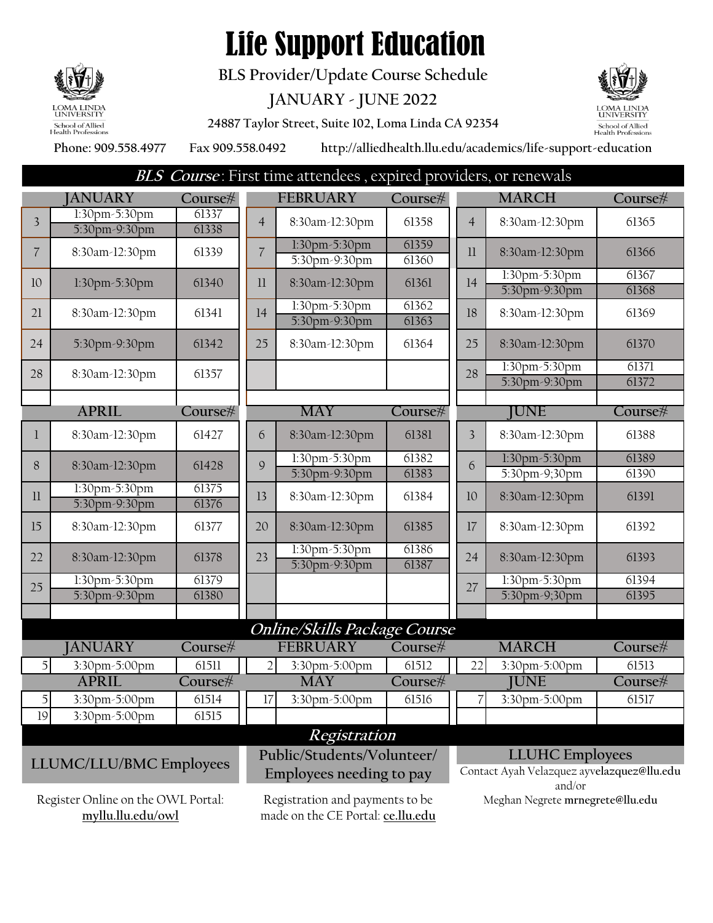

# Life Support Education

**BLS Provider/Update Course Schedule**

### **JANUARY - JUNE 2022**



**24887 Taylor Street, Suite 102, Loma Linda CA 92354**

**Phone: 909.558.4977 Fax 909.558.0492 http://alliedhealth.llu.edu/academics/life-support-education**

#### **Course# Course# Course# JANUARY FEBRUARY MARCH** 61337 61338 61359 61360 61367 61368 61362 61363 61371 61372 **Course# Course# Course#** 61382 |  $\epsilon$  1:30pm-5:30pm | 61389 61383 61390 5:30pm  $-9;30$ pm 61390 61375 61376 61386 61387 61379 61394 1:30pm-5:30pm 61380 61395 **Course# Course# Course# JANUARY FEBRUARY** 5 3:30pm-5:00pm | 61511 || 2| 3:30pm-5:00pm | 61512 || 22| 3:30pm-5:00pm | 61513 **Course# Course# Course#** 5 3:30pm-5:00pm | 61514 || 17 3:30pm-5:00pm | 61516 || 7| 3:30pm-5:00pm | 61517 19 61515 3:30pm-5:00pm 61391 8:30am-12:30pm 61393 5:30pm-9:30pm 8:30am-12:30pm 61392 61366 1:30pm-5:30pm 5:30pm-9:30pm 8:30am-12:30pm 61370 1:30pm-5:30pm 5:30pm-9:30pm 8:30am-12:30pm 1:30pm-5:30pm 6 | 8:30am-12:30pm | 61381 | 3 11 1:30pm-5:30pm 5:30pm-9:30pm **MARCH** 5:30pm-9:30pm 61342 8:30am-12:30pm 61357 25 8:30am-12:30pm 61364 25 13 8:30am-12:30pm 61384 10 **MAY Course**<sup>*k*</sup> **JUNE APRIL** 3:30pm-5:00pm 1:30pm-5:30pm 9 61340 | 11 | 8:30am-12:30pm | 61361 | 14 61388 18 8:30am-12:30pm 61428 8:30am-12:30pm 61369 28 8:30am-12:30pm 61427 11 8:30am-12:30pm 8:30am-12:30pm 61341 || 14 24 28 6 **LLUMC/LLU/BMC Employees Public/Students/Volunteer/ Employees needing to pay Registration** Contact Ayah Velazquez ayv**elazquez@llu.edu** and/or **Online/Skills Package Course** 27 1:30pm-5:30pm 5:30pm-9:30pm 22 11 15 1 61377 8:30am-12:30pm 61378 1:30pm-5:30pm 5:30pm-9:30pm **LLUHC Employees JUNE** 1:30pm-5:30pm 61386 24 5:30pm-9:30pm APRIL **Course** 20 23 8:30am-12:30pm | 61377 || 20 | 8:30am-12:30pm | 61385 || 17 | 8:30am-12:30pm 10 21 25 1:30pm-5:30pm 5:30pm-9:30pm 8 **BLS Course** : First time attendees , expired providers, or renewals 7 8:30am-12:30pm 61339 3 4 8:30am-12:30pm 61358 4 8:30am-12:30pm 61365 7 1:30pm-5:30pm 5:30pm-9:30pm

Register Online on the OWL Portal: **myllu.llu.edu/owl**

made on the CE Portal: **ce.llu.edu**

Registration and payments to be Meghan Negrete **mrnegrete@llu.edu**